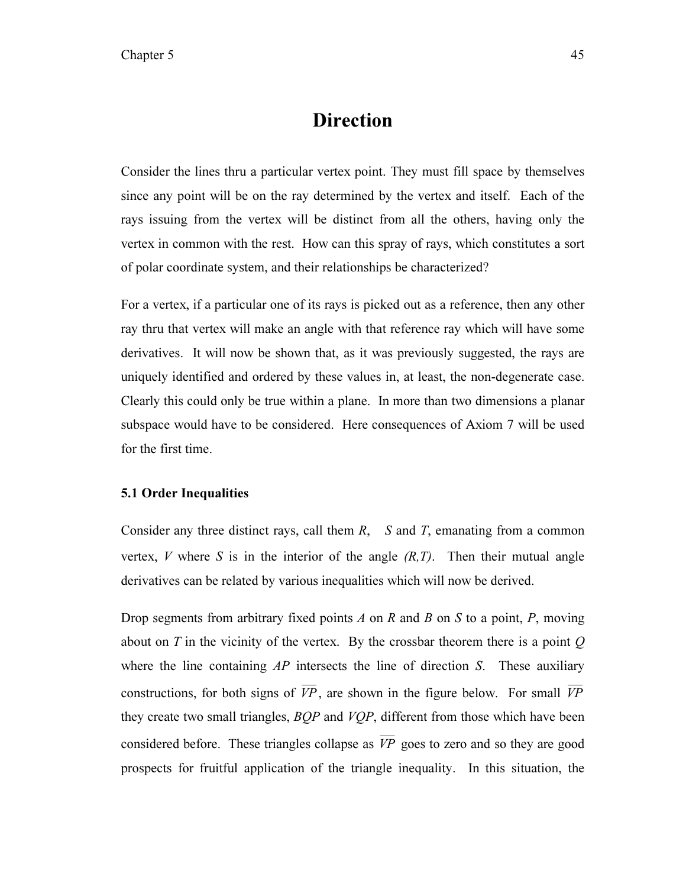# Direction

Consider the lines thru a particular vertex point. They must fill space by themselves since any point will be on the ray determined by the vertex and itself. Each of the rays issuing from the vertex will be distinct from all the others, having only the vertex in common with the rest. How can this spray of rays, which constitutes a sort of polar coordinate system, and their relationships be characterized?

For a vertex, if a particular one of its rays is picked out as a reference, then any other ray thru that vertex will make an angle with that reference ray which will have some derivatives. It will now be shown that, as it was previously suggested, the rays are uniquely identified and ordered by these values in, at least, the non-degenerate case. Clearly this could only be true within a plane. In more than two dimensions a planar subspace would have to be considered. Here consequences of Axiom 7 will be used for the first time.

#### 5.1 Order Inequalities

Consider any three distinct rays, call them  $R$ ,  $S$  and  $T$ , emanating from a common vertex, V where S is in the interior of the angle  $(R, T)$ . Then their mutual angle derivatives can be related by various inequalities which will now be derived.

Drop segments from arbitrary fixed points A on R and B on S to a point, P, moving about on T in the vicinity of the vertex. By the crossbar theorem there is a point  $Q$ where the line containing  $AP$  intersects the line of direction S. These auxiliary constructions, for both signs of  $\overline{VP}$ , are shown in the figure below. For small  $\overline{VP}$ they create two small triangles, BOP and VOP, different from those which have been considered before. These triangles collapse as  $\overline{VP}$  goes to zero and so they are good prospects for fruitful application of the triangle inequality. In this situation, the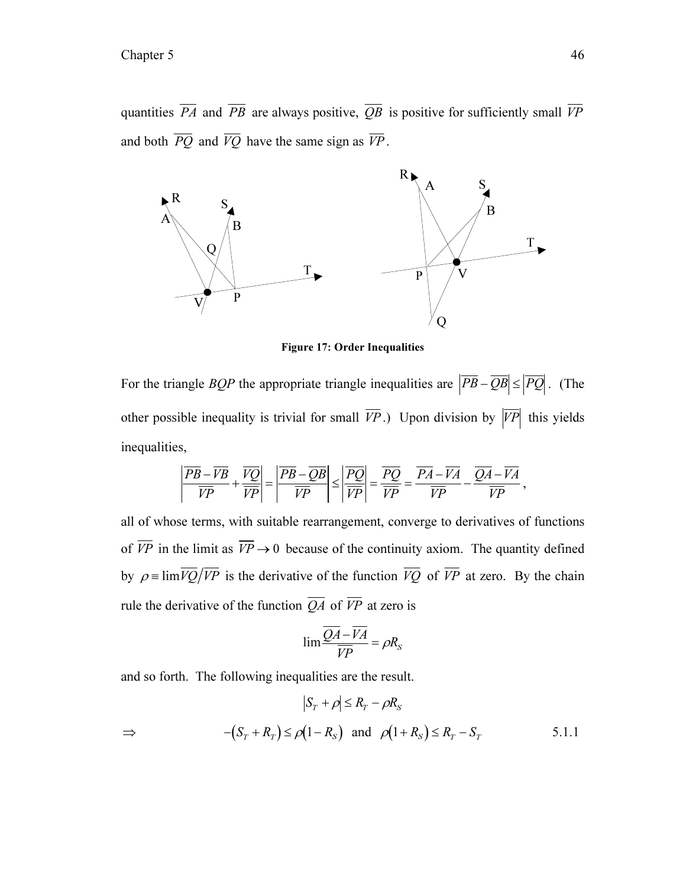quantities  $\overline{PA}$  and  $\overline{PB}$  are always positive,  $\overline{QB}$  is positive for sufficiently small  $\overline{VP}$ and both  $\overline{PQ}$  and  $\overline{VQ}$  have the same sign as  $\overline{VP}$ .



Figure 17: Order Inequalities

For the triangle BQP the appropriate triangle inequalities are  $|\overline{PB} - \overline{QB}| \leq |\overline{PQ}|$ . (The other possible inequality is trivial for small  $\overline{VP}$ .) Upon division by  $|\overline{VP}|$  this yields inequalities,

$$
\left|\frac{\overline{PB}-\overline{VB}}{\overline{VP}}+\frac{\overline{VQ}}{\overline{VP}}\right|=\left|\frac{\overline{PB}-\overline{QB}}{\overline{VP}}\right|\leq\left|\frac{\overline{PQ}}{\overline{VP}}\right|=\frac{\overline{PQ}}{\overline{VP}}=\frac{\overline{PA}-\overline{VA}}{\overline{VP}}-\frac{\overline{QA}-\overline{VA}}{\overline{VP}},
$$

all of whose terms, with suitable rearrangement, converge to derivatives of functions of  $\overline{VP}$  in the limit as  $\overline{VP} \rightarrow 0$  because of the continuity axiom. The quantity defined by  $\rho = \lim \overline{VQ}/\overline{VP}$  is the derivative of the function  $\overline{VQ}$  of  $\overline{VP}$  at zero. By the chain rule the derivative of the function  $\overline{QA}$  of  $\overline{VP}$  at zero is

$$
\lim \frac{\overline{QA} - \overline{VA}}{\overline{VP}} = \rho R_{S}
$$

and so forth. The following inequalities are the result.

$$
|S_T + \rho| \le R_T - \rho R_S
$$
  
\n
$$
-(S_T + R_T) \le \rho (1 - R_S) \text{ and } \rho (1 + R_S) \le R_T - S_T
$$
 5.1.1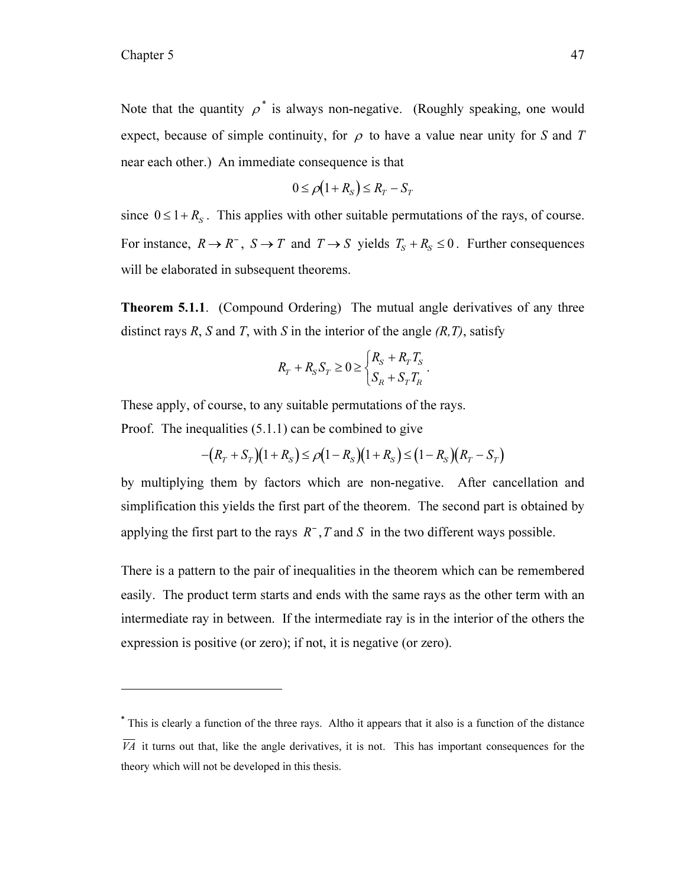Ξ

Note that the quantity  $\rho^*$  is always non-negative. (Roughly speaking, one would expect, because of simple continuity, for  $\rho$  to have a value near unity for S and T near each other.) An immediate consequence is that

$$
0 \leq \rho \big( 1 + R_{\rm S} \big) \leq R_{\rm T} - S_{\rm T}
$$

since  $0 \le 1 + R_s$ . This applies with other suitable permutations of the rays, of course. For instance,  $R \to R^-$ ,  $S \to T$  and  $T \to S$  yields  $T_s + R_s \leq 0$ . Further consequences will be elaborated in subsequent theorems.

**Theorem 5.1.1.** (Compound Ordering) The mutual angle derivatives of any three distinct rays R, S and T, with S in the interior of the angle  $(R, T)$ , satisfy

$$
R_T + R_S S_T \ge 0 \ge \begin{cases} R_S + R_T T_S \\ S_R + S_T T_R \end{cases}.
$$

These apply, of course, to any suitable permutations of the rays.

Proof. The inequalities (5.1.1) can be combined to give

$$
-(R_T + S_T)(1 + R_S) \le \rho(1 - R_S)(1 + R_S) \le (1 - R_S)(R_T - S_T)
$$

by multiplying them by factors which are non-negative. After cancellation and simplification this yields the first part of the theorem. The second part is obtained by applying the first part to the rays  $R^{-}$ , T and S in the two different ways possible.

There is a pattern to the pair of inequalities in the theorem which can be remembered easily. The product term starts and ends with the same rays as the other term with an intermediate ray in between. If the intermediate ray is in the interior of the others the expression is positive (or zero); if not, it is negative (or zero).

<sup>&</sup>lt;sup>\*</sup>This is clearly a function of the three rays. Altho it appears that it also is a function of the distance  $\overline{VA}$  it turns out that, like the angle derivatives, it is not. This has important consequences for the theory which will not be developed in this thesis.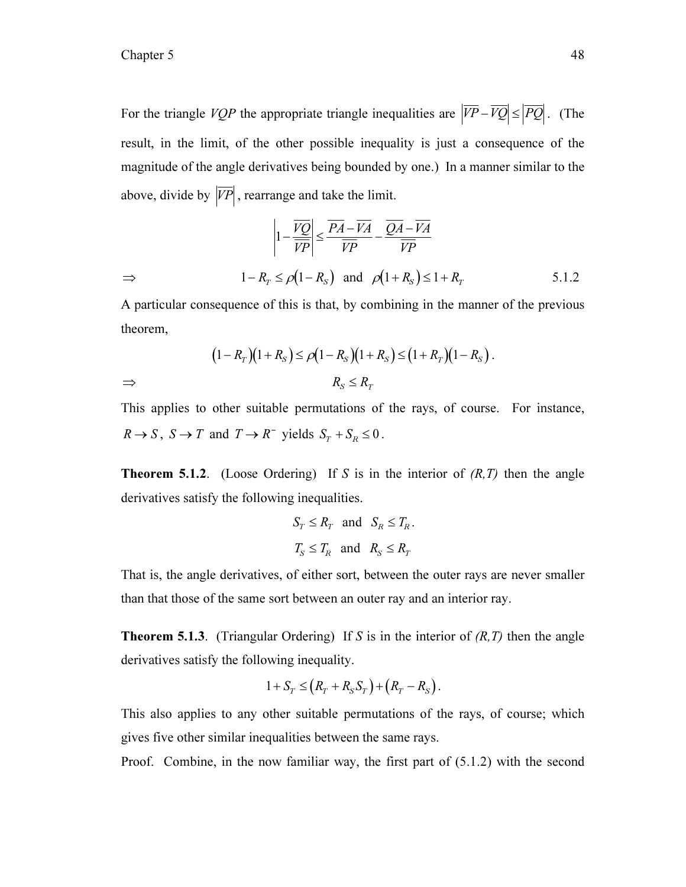For the triangle VQP the appropriate triangle inequalities are  $|\overline{VP} - \overline{VQ}| \leq |\overline{PQ}|$ . (The result, in the limit, of the other possible inequality is just a consequence of the magnitude of the angle derivatives being bounded by one.) In a manner similar to the above, divide by  $\overline{VP}$ , rearrange and take the limit.

$$
\left|1 - \frac{\overline{VQ}}{\overline{VP}}\right| \le \frac{\overline{PA} - \overline{VA}}{\overline{VP}} - \frac{\overline{QA} - \overline{VA}}{\overline{VP}}
$$
  
\n
$$
\Rightarrow \qquad 1 - R_T \le \rho \left(1 - R_S\right) \text{ and } \rho \left(1 + R_S\right) \le 1 + R_T \qquad 5.1.2
$$

A particular consequence of this is that, by combining in the manner of the previous theorem,

$$
(1-R_r)(1+R_s) \le \rho(1-R_s)(1+R_s) \le (1+R_r)(1-R_s).
$$
  
\n
$$
\Rightarrow R_s \le R_r
$$

This applies to other suitable permutations of the rays, of course. For instance,  $R \to S$ ,  $S \to T$  and  $T \to R^-$  yields  $S_T + S_D \leq 0$ .

**Theorem 5.1.2.** (Loose Ordering) If S is in the interior of  $(R, T)$  then the angle derivatives satisfy the following inequalities.

$$
S_T \le R_T
$$
 and  $S_R \le T_R$ .  
\n $T_S \le T_R$  and  $R_S \le R_T$ 

That is, the angle derivatives, of either sort, between the outer rays are never smaller than that those of the same sort between an outer ray and an interior ray.

**Theorem 5.1.3.** (Triangular Ordering) If S is in the interior of  $(R,T)$  then the angle derivatives satisfy the following inequality.

$$
1+S_T\leq (R_T+R_S S_T)+(R_T-R_S).
$$

This also applies to any other suitable permutations of the rays, of course; which gives five other similar inequalities between the same rays.

Proof. Combine, in the now familiar way, the first part of (5.1.2) with the second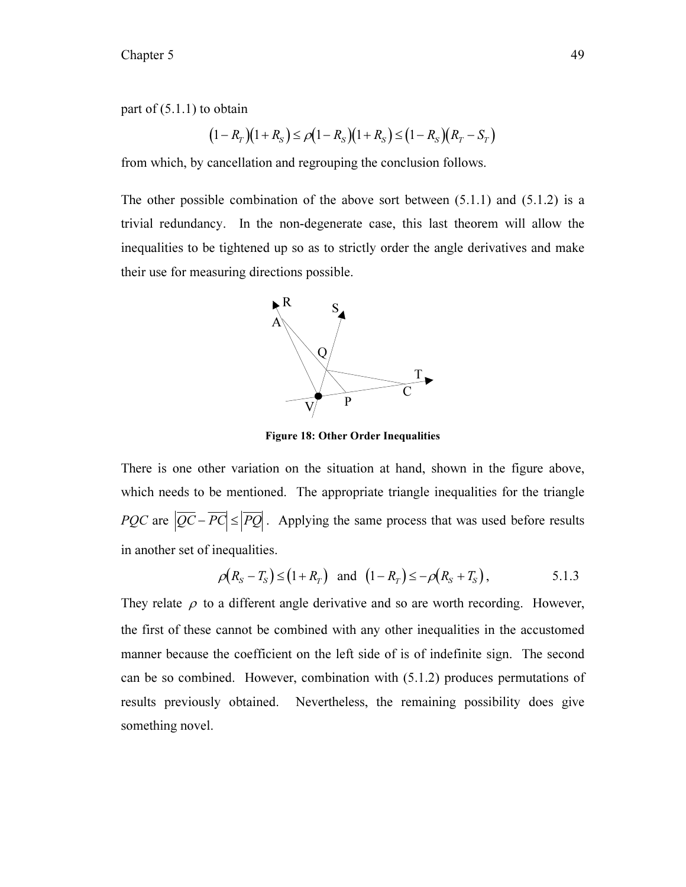part of (5.1.1) to obtain

$$
(1 - R_{T})(1 + R_{S}) \le \rho (1 - R_{S})(1 + R_{S}) \le (1 - R_{S})(R_{T} - S_{T})
$$

from which, by cancellation and regrouping the conclusion follows.

The other possible combination of the above sort between (5.1.1) and (5.1.2) is a trivial redundancy. In the non-degenerate case, this last theorem will allow the inequalities to be tightened up so as to strictly order the angle derivatives and make their use for measuring directions possible.



Figure 18: Other Order Inequalities

There is one other variation on the situation at hand, shown in the figure above, which needs to be mentioned. The appropriate triangle inequalities for the triangle *PQC* are  $|\overline{QC} - \overline{PC}| \le |\overline{PQ}|$ . Applying the same process that was used before results in another set of inequalities.

$$
\rho(R_s - T_s) \le (1 + R_T)
$$
 and  $(1 - R_T) \le -\rho(R_s + T_s)$ , 5.1.3

They relate  $\rho$  to a different angle derivative and so are worth recording. However, the first of these cannot be combined with any other inequalities in the accustomed manner because the coefficient on the left side of is of indefinite sign. The second can be so combined. However, combination with (5.1.2) produces permutations of results previously obtained. Nevertheless, the remaining possibility does give something novel.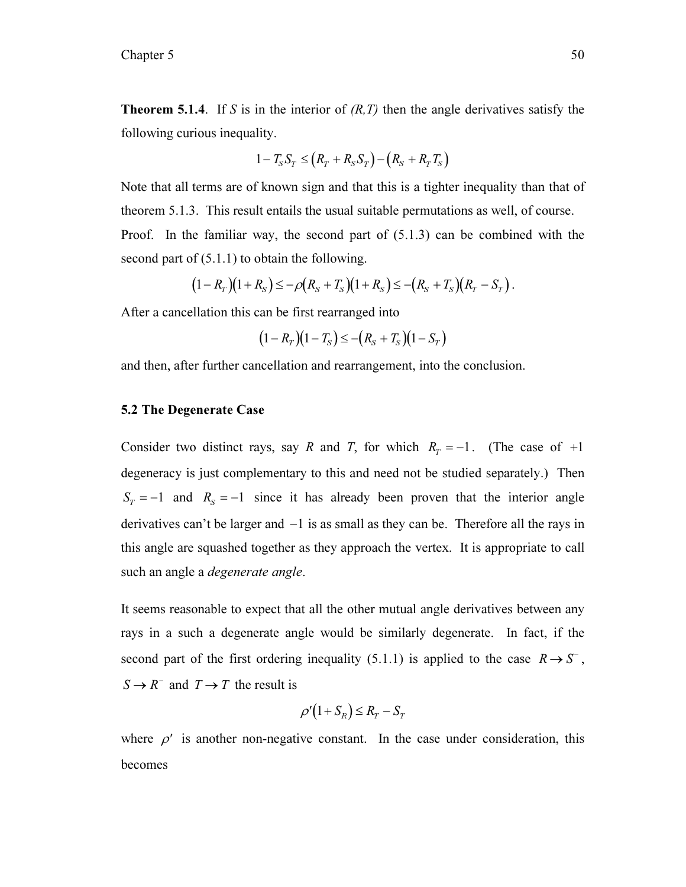**Theorem 5.1.4.** If S is in the interior of  $(R, T)$  then the angle derivatives satisfy the following curious inequality.

$$
1 - T_S S_T \leq (R_T + R_S S_T) - (R_S + R_T T_S)
$$

Note that all terms are of known sign and that this is a tighter inequality than that of theorem 5.1.3. This result entails the usual suitable permutations as well, of course. Proof. In the familiar way, the second part of (5.1.3) can be combined with the second part of (5.1.1) to obtain the following.

$$
(1 - R_T)(1 + R_S) \leq -\rho (R_S + T_S)(1 + R_S) \leq -(R_S + T_S)(R_T - S_T).
$$

After a cancellation this can be first rearranged into

$$
(1 - R_{T})(1 - T_{S}) \leq -(R_{S} + T_{S})(1 - S_{T})
$$

and then, after further cancellation and rearrangement, into the conclusion.

### 5.2 The Degenerate Case

Consider two distinct rays, say R and T, for which  $R_T = -1$ . (The case of +1) degeneracy is just complementary to this and need not be studied separately.) Then  $S_T = -1$  and  $R_S = -1$  since it has already been proven that the interior angle derivatives can't be larger and  $-1$  is as small as they can be. Therefore all the rays in this angle are squashed together as they approach the vertex. It is appropriate to call such an angle a *degenerate angle*.

It seems reasonable to expect that all the other mutual angle derivatives between any rays in a such a degenerate angle would be similarly degenerate. In fact, if the second part of the first ordering inequality (5.1.1) is applied to the case  $R \rightarrow S^{-}$ ,  $S \to R^-$  and  $T \to T$  the result is

$$
\rho'(1+S_R)\leq R_T-S_T
$$

where  $\rho'$  is another non-negative constant. In the case under consideration, this becomes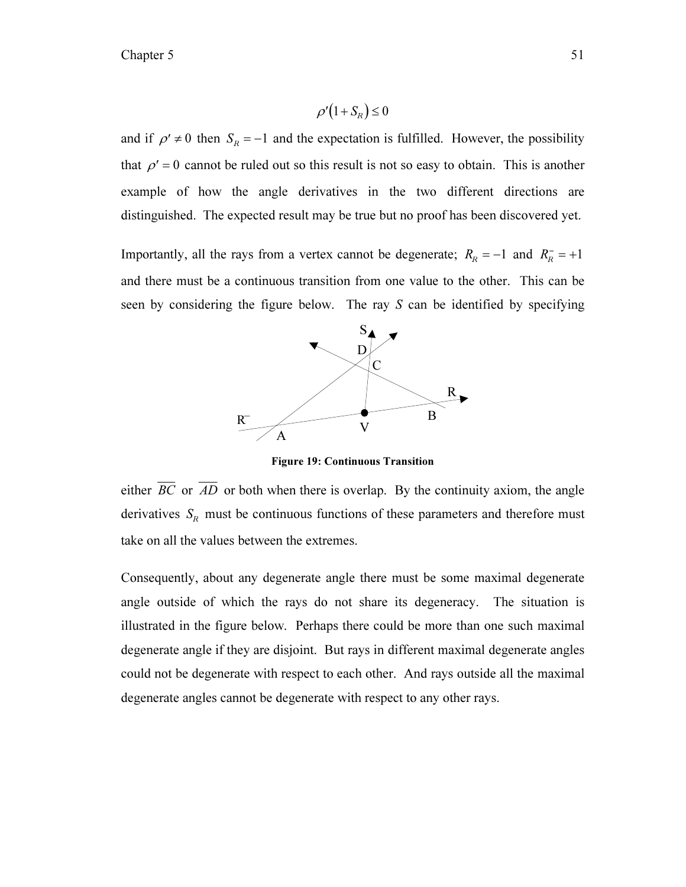$\rho'(1+\delta_R) \leq 0$ 

and if  $\rho \neq 0$  then  $S_p = -1$  and the expectation is fulfilled. However, the possibility that  $\rho' = 0$  cannot be ruled out so this result is not so easy to obtain. This is another example of how the angle derivatives in the two different directions are distinguished. The expected result may be true but no proof has been discovered yet.

Importantly, all the rays from a vertex cannot be degenerate;  $R_p = -1$  and  $R_p = +1$ and there must be a continuous transition from one value to the other. This can be seen by considering the figure below. The ray S can be identified by specifying



Figure 19: Continuous Transition

either  $\overline{BC}$  or  $\overline{AD}$  or both when there is overlap. By the continuity axiom, the angle derivatives  $S_{\rm p}$  must be continuous functions of these parameters and therefore must take on all the values between the extremes.

Consequently, about any degenerate angle there must be some maximal degenerate angle outside of which the rays do not share its degeneracy. The situation is illustrated in the figure below. Perhaps there could be more than one such maximal degenerate angle if they are disjoint. But rays in different maximal degenerate angles could not be degenerate with respect to each other. And rays outside all the maximal degenerate angles cannot be degenerate with respect to any other rays.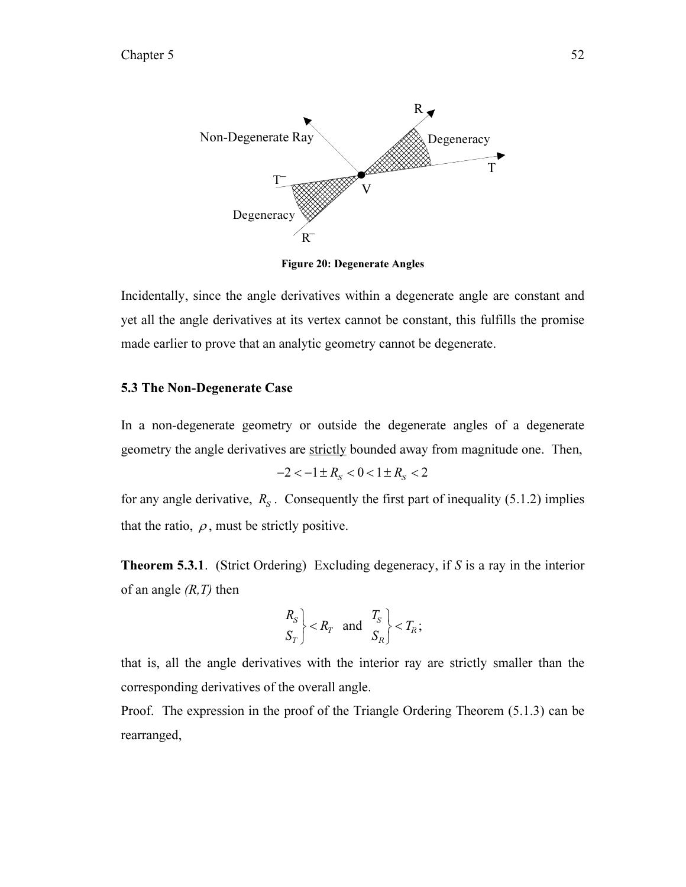

Figure 20: Degenerate Angles

Incidentally, since the angle derivatives within a degenerate angle are constant and yet all the angle derivatives at its vertex cannot be constant, this fulfills the promise made earlier to prove that an analytic geometry cannot be degenerate.

### 5.3 The Non-Degenerate Case

In a non-degenerate geometry or outside the degenerate angles of a degenerate geometry the angle derivatives are strictly bounded away from magnitude one. Then,

$$
-2 < -1 \pm R_{\rm s} < 0 < 1 \pm R_{\rm s} < 2
$$

for any angle derivative,  $R<sub>s</sub>$ . Consequently the first part of inequality (5.1.2) implies that the ratio,  $\rho$ , must be strictly positive.

**Theorem 5.3.1.** (Strict Ordering) Excluding degeneracy, if S is a ray in the interior of an angle  $(R, T)$  then

$$
\begin{array}{c}\n R_S \\
S_T\n \end{array}\n \bigg\} < R_T \quad \text{and} \quad \begin{array}{c}\n T_S \\
S_R\n \end{array}\n \bigg\} < T_R;
$$

that is, all the angle derivatives with the interior ray are strictly smaller than the corresponding derivatives of the overall angle.

Proof. The expression in the proof of the Triangle Ordering Theorem (5.1.3) can be rearranged,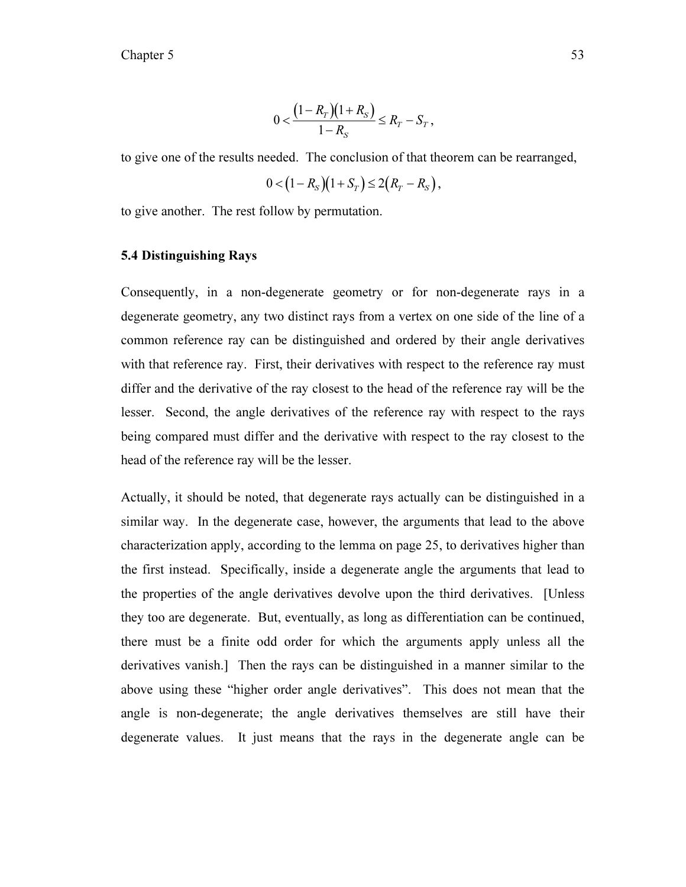$$
0 < \frac{(1 - R_{\scriptscriptstyle T}) (1 + R_{\scriptscriptstyle S})}{1 - R_{\scriptscriptstyle S}} \leq R_{\scriptscriptstyle T} - S_{\scriptscriptstyle T} \, ,
$$

to give one of the results needed. The conclusion of that theorem can be rearranged,

$$
0 < (1 - R_{S})(1 + S_{T}) \leq 2(R_{T} - R_{S}),
$$

to give another. The rest follow by permutation.

# 5.4 Distinguishing Rays

Consequently, in a non-degenerate geometry or for non-degenerate rays in a degenerate geometry, any two distinct rays from a vertex on one side of the line of a common reference ray can be distinguished and ordered by their angle derivatives with that reference ray. First, their derivatives with respect to the reference ray must differ and the derivative of the ray closest to the head of the reference ray will be the lesser. Second, the angle derivatives of the reference ray with respect to the rays being compared must differ and the derivative with respect to the ray closest to the head of the reference ray will be the lesser.

Actually, it should be noted, that degenerate rays actually can be distinguished in a similar way. In the degenerate case, however, the arguments that lead to the above characterization apply, according to the lemma on page 25, to derivatives higher than the first instead. Specifically, inside a degenerate angle the arguments that lead to the properties of the angle derivatives devolve upon the third derivatives. [Unless they too are degenerate. But, eventually, as long as differentiation can be continued, there must be a finite odd order for which the arguments apply unless all the derivatives vanish.] Then the rays can be distinguished in a manner similar to the above using these "higher order angle derivatives". This does not mean that the angle is non-degenerate; the angle derivatives themselves are still have their degenerate values. It just means that the rays in the degenerate angle can be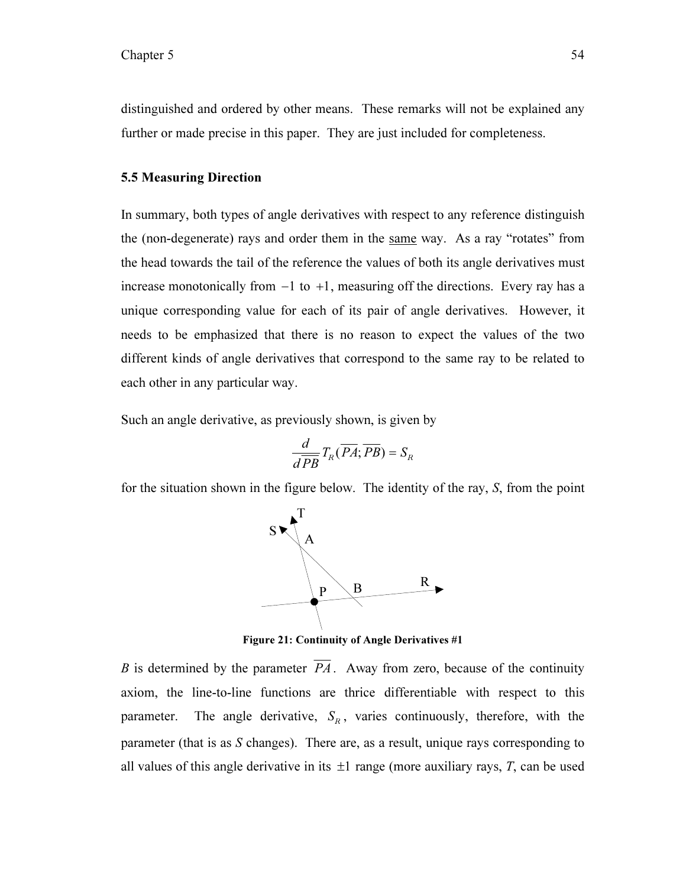distinguished and ordered by other means. These remarks will not be explained any further or made precise in this paper. They are just included for completeness.

#### 5.5 Measuring Direction

In summary, both types of angle derivatives with respect to any reference distinguish the (non-degenerate) rays and order them in the same way. As a ray "rotates" from the head towards the tail of the reference the values of both its angle derivatives must increase monotonically from  $-1$  to  $+1$ , measuring off the directions. Every ray has a unique corresponding value for each of its pair of angle derivatives. However, it needs to be emphasized that there is no reason to expect the values of the two different kinds of angle derivatives that correspond to the same ray to be related to each other in any particular way.

Such an angle derivative, as previously shown, is given by

$$
\frac{d}{d\overline{PB}}T_R(\overline{PA};\overline{PB})=S_R
$$

for the situation shown in the figure below. The identity of the ray, S, from the point



Figure 21: Continuity of Angle Derivatives #1

B is determined by the parameter  $\overline{PA}$ . Away from zero, because of the continuity axiom, the line-to-line functions are thrice differentiable with respect to this parameter. The angle derivative,  $S_p$ , varies continuously, therefore, with the parameter (that is as  $S$  changes). There are, as a result, unique rays corresponding to all values of this angle derivative in its  $\pm 1$  range (more auxiliary rays, T, can be used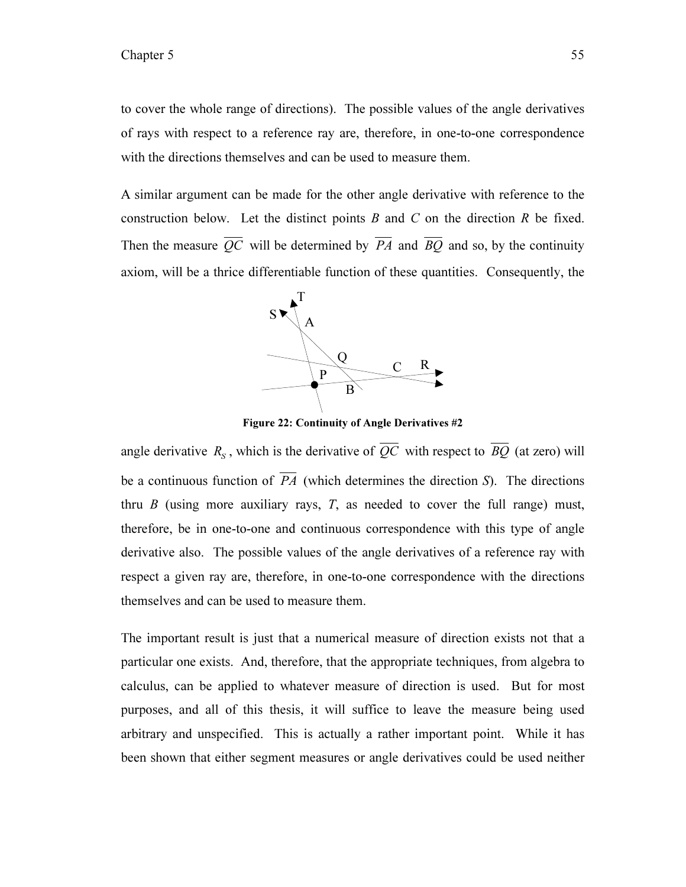to cover the whole range of directions). The possible values of the angle derivatives of rays with respect to a reference ray are, therefore, in one-to-one correspondence with the directions themselves and can be used to measure them.

A similar argument can be made for the other angle derivative with reference to the construction below. Let the distinct points  $B$  and  $C$  on the direction  $R$  be fixed. Then the measure  $\overline{OC}$  will be determined by  $\overline{PA}$  and  $\overline{BO}$  and so, by the continuity axiom, will be a thrice differentiable function of these quantities. Consequently, the



Figure 22: Continuity of Angle Derivatives #2

angle derivative  $R_s$ , which is the derivative of  $\overline{QC}$  with respect to  $\overline{BQ}$  (at zero) will be a continuous function of  $\overline{PA}$  (which determines the direction S). The directions thru  $B$  (using more auxiliary rays,  $T$ , as needed to cover the full range) must, therefore, be in one-to-one and continuous correspondence with this type of angle derivative also. The possible values of the angle derivatives of a reference ray with respect a given ray are, therefore, in one-to-one correspondence with the directions themselves and can be used to measure them.

The important result is just that a numerical measure of direction exists not that a particular one exists. And, therefore, that the appropriate techniques, from algebra to calculus, can be applied to whatever measure of direction is used. But for most purposes, and all of this thesis, it will suffice to leave the measure being used arbitrary and unspecified. This is actually a rather important point. While it has been shown that either segment measures or angle derivatives could be used neither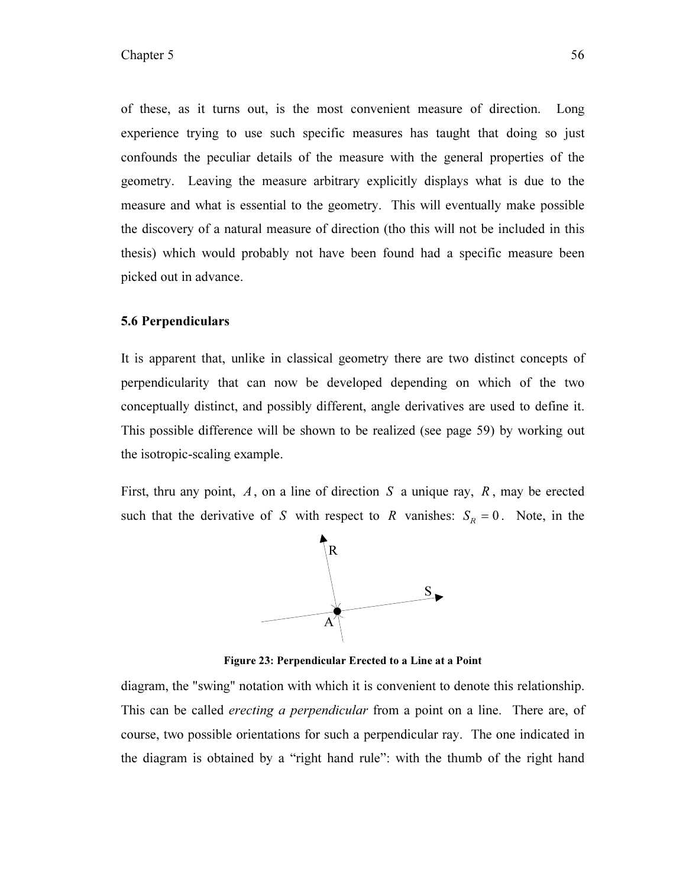of these, as it turns out, is the most convenient measure of direction. Long experience trying to use such specific measures has taught that doing so just confounds the peculiar details of the measure with the general properties of the geometry. Leaving the measure arbitrary explicitly displays what is due to the measure and what is essential to the geometry. This will eventually make possible the discovery of a natural measure of direction (tho this will not be included in this thesis) which would probably not have been found had a specific measure been picked out in advance.

# 5.6 Perpendiculars

It is apparent that, unlike in classical geometry there are two distinct concepts of perpendicularity that can now be developed depending on which of the two conceptually distinct, and possibly different, angle derivatives are used to define it. This possible difference will be shown to be realized (see page 59) by working out the isotropic-scaling example.

First, thru any point,  $A$ , on a line of direction  $S$  a unique ray,  $R$ , may be erected such that the derivative of S with respect to R vanishes:  $S_p = 0$ . Note, in the



Figure 23: Perpendicular Erected to a Line at a Point

diagram, the "swing" notation with which it is convenient to denote this relationship. This can be called *erecting a perpendicular* from a point on a line. There are, of course, two possible orientations for such a perpendicular ray. The one indicated in the diagram is obtained by a "right hand rule": with the thumb of the right hand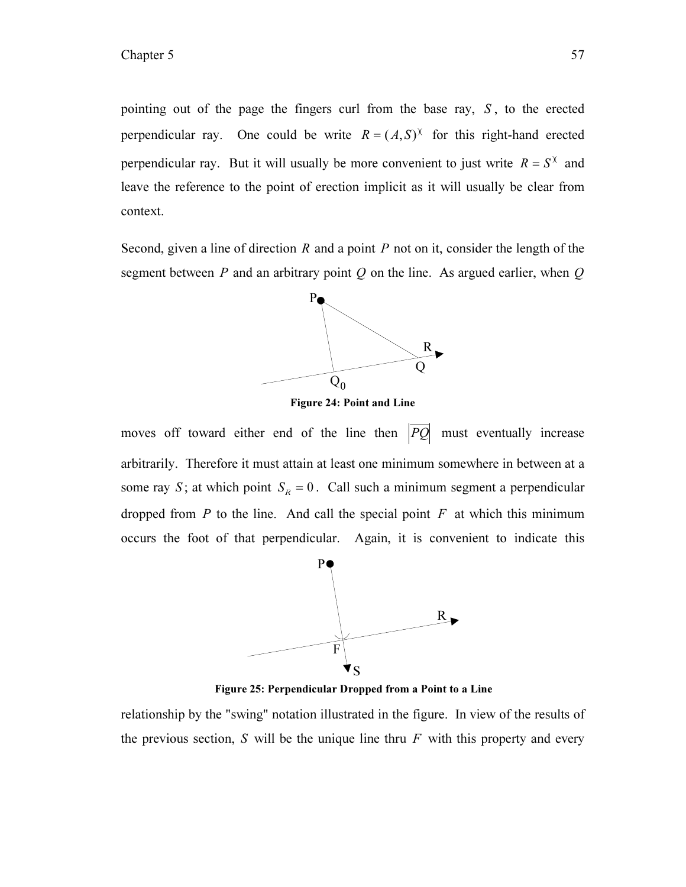pointing out of the page the fingers curl from the base ray,  $S$ , to the erected perpendicular ray. One could be write  $R = (A, S)^{n}$  for this right-hand erected perpendicular ray. But it will usually be more convenient to just write  $R = S^{\dagger}$  and leave the reference to the point of erection implicit as it will usually be clear from context.

Second, given a line of direction  $R$  and a point  $P$  not on it, consider the length of the segment between  $P$  and an arbitrary point  $Q$  on the line. As argued earlier, when  $Q$ 



Figure 24: Point and Line

moves off toward either end of the line then  $\overline{PQ}$  must eventually increase arbitrarily. Therefore it must attain at least one minimum somewhere in between at a some ray  $S$ ; at which point  $S_p = 0$ . Call such a minimum segment a perpendicular dropped from  $P$  to the line. And call the special point  $F$  at which this minimum occurs the foot of that perpendicular. Again, it is convenient to indicate this



Figure 25: Perpendicular Dropped from a Point to a Line

relationship by the "swing" notation illustrated in the figure. In view of the results of the previous section, S will be the unique line thru  $F$  with this property and every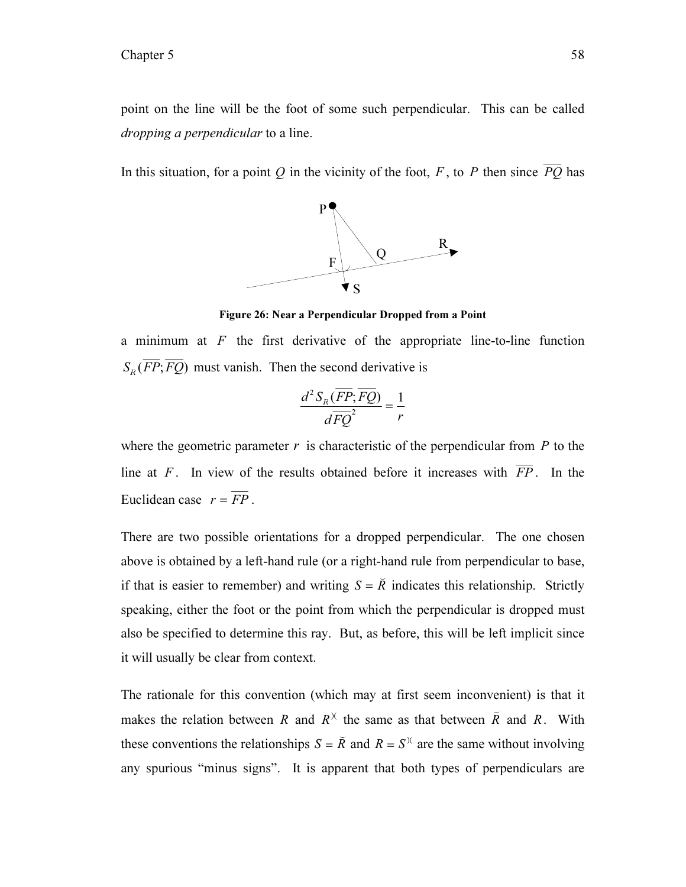point on the line will be the foot of some such perpendicular. This can be called dropping a perpendicular to a line.

In this situation, for a point Q in the vicinity of the foot, F, to P then since  $\overline{PQ}$  has



Figure 26: Near a Perpendicular Dropped from a Point

a minimum at  $F$  the first derivative of the appropriate line-to-line function  $S_p(TP; FQ)$  must vanish. Then the second derivative is

$$
\frac{d^2S_R(\overline{FP};\overline{FQ})}{d\overline{FQ}^2} = \frac{1}{r}
$$

where the geometric parameter r is characteristic of the perpendicular from  $P$  to the line at  $F$ . In view of the results obtained before it increases with  $FP$ . In the Euclidean case  $r = \overline{FP}$ .

There are two possible orientations for a dropped perpendicular. The one chosen above is obtained by a left-hand rule (or a right-hand rule from perpendicular to base, if that is easier to remember) and writing  $S = K$ ( indicates this relationship. Strictly speaking, either the foot or the point from which the perpendicular is dropped must also be specified to determine this ray. But, as before, this will be left implicit since it will usually be clear from context.

The rationale for this convention (which may at first seem inconvenient) is that it makes the relation between R and  $R^{\gamma}$  the same as that between ( R and R . With these conventions the relationships  $\Delta = K$ ( and  $R = S<sup>0</sup>$  are the same without involving any spurious "minus signs". It is apparent that both types of perpendiculars are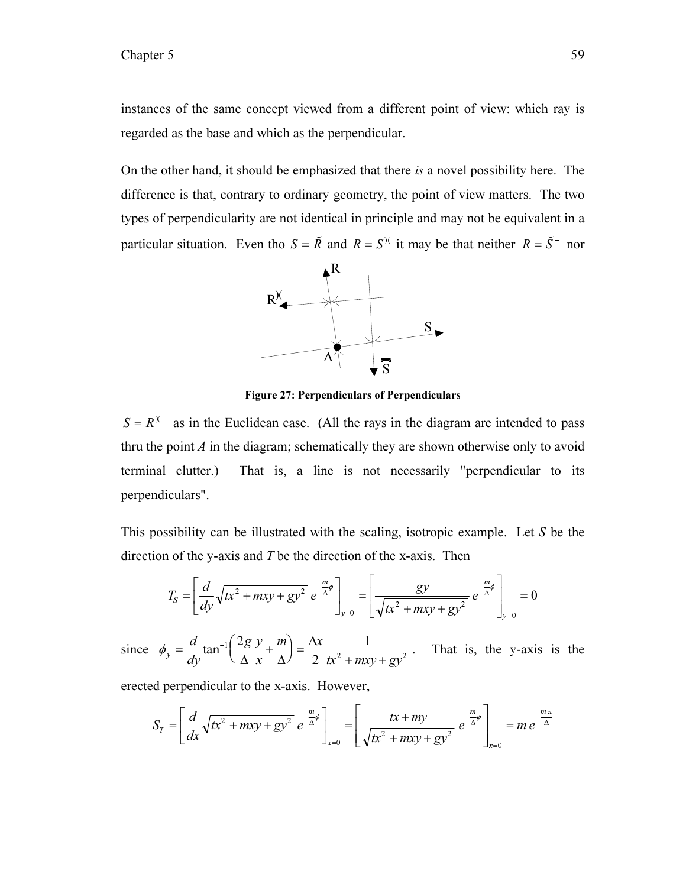instances of the same concept viewed from a different point of view: which ray is regarded as the base and which as the perpendicular.

On the other hand, it should be emphasized that there is a novel possibility here. The difference is that, contrary to ordinary geometry, the point of view matters. The two types of perpendicularity are not identical in principle and may not be equivalent in a particular situation. Even tho  $S = K$  $\overline{a}$ and  $R = S^{\dagger}$  it may be that neither  $R = \overline{S}$  $\breve{\mathrm{S}}$ <sup>-</sup> nor



Figure 27: Perpendiculars of Perpendiculars

 $S = R^{\lambda -}$  as in the Euclidean case. (All the rays in the diagram are intended to pass thru the point  $A$  in the diagram; schematically they are shown otherwise only to avoid terminal clutter.) That is, a line is not necessarily "perpendicular to its perpendiculars".

This possibility can be illustrated with the scaling, isotropic example. Let S be the direction of the y-axis and  $T$  be the direction of the x-axis. Then

$$
T_{S} = \left[ \frac{d}{dy} \sqrt{tx^{2} + mxy + gy^{2}} e^{-\frac{m}{\Delta} \phi} \right]_{y=0} = \left[ \frac{gy}{\sqrt{tx^{2} + mxy + gy^{2}}} e^{-\frac{m}{\Delta} \phi} \right]_{y=0} = 0
$$

since  $\phi_n = \frac{a}{a}$  ta dy g y x  $m \geq \Delta x$  $tx + mxy + gy$  $=\frac{u}{\tan^{-1}}\left|\frac{2g y}{2}+u\right|$  $\left(\frac{28y}{\Lambda x}+\frac{m}{\Lambda}\right)$  $\tan^{-1}\left(\frac{2g}{\Delta} \frac{y}{x} + \frac{m}{\Delta}\right) = \frac{\Delta x}{2} \frac{1}{tx^2 + mxy +$  $\frac{2g y}{2} + \frac{m}{2} = \frac{\Delta x}{2}$  T 2 1  $\Delta$   $\chi$   $\Delta$  $\frac{\Delta x}{\Delta}$  1 That is, the y-axis is the

erected perpendicular to the x-axis. However,

$$
S_T = \left[ \frac{d}{dx} \sqrt{tx^2 + mxy + gy^2} e^{-\frac{m}{\Delta} \phi} \right]_{x=0} = \left[ \frac{tx + my}{\sqrt{tx^2 + mxy + gy^2}} e^{-\frac{m}{\Delta} \phi} \right]_{x=0} = me^{-\frac{m\pi}{\Delta}}
$$